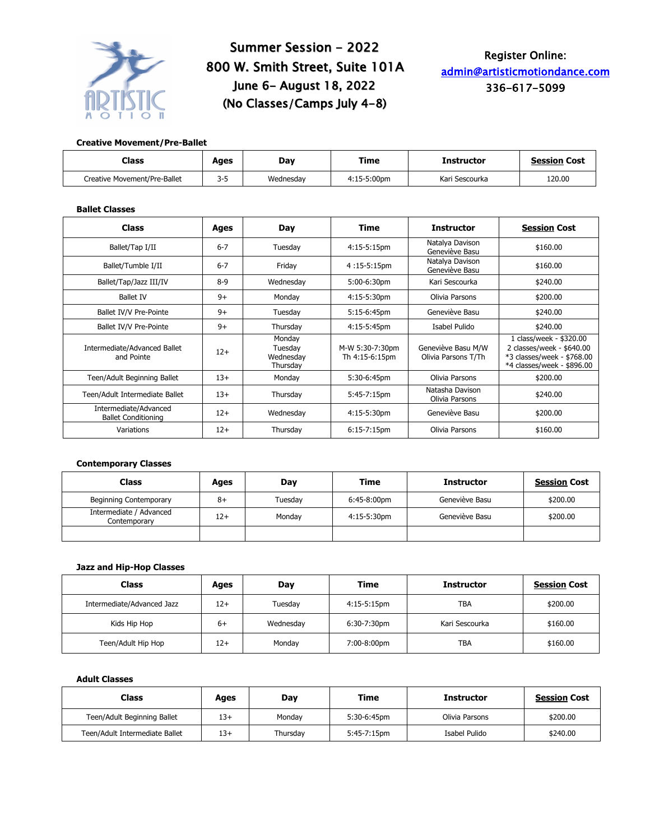

# Summer Session - 2022 800 W. Smith Street, Suite 101A June 6- August 18, 2022 (No Classes/Camps July 4-8)

# Register Online: admin@artisticmotiondance.com 336-617-5099

## **Creative Movement/Pre-Ballet**

| Class                        | Ages    | Dav       | Time        | Instructor     | <b>Session Cost</b> |
|------------------------------|---------|-----------|-------------|----------------|---------------------|
| Creative Movement/Pre-Ballet | $3 - 5$ | Wednesdav | 4:15-5:00pm | Kari Sescourka | 120.00              |

# **Ballet Classes**

| <b>Class</b>                                        | Ages    | Day                                        | Time                              | <b>Instructor</b>                         | <b>Session Cost</b>                                                                                              |  |
|-----------------------------------------------------|---------|--------------------------------------------|-----------------------------------|-------------------------------------------|------------------------------------------------------------------------------------------------------------------|--|
| Ballet/Tap I/II                                     | $6 - 7$ | Tuesday                                    | $4:15-5:15$ pm                    | Natalya Davison<br>Geneviève Basu         | \$160.00                                                                                                         |  |
| Ballet/Tumble I/II                                  | $6 - 7$ | Friday                                     | $4:15-5:15$ pm                    | Natalya Davison<br>Geneviève Basu         | \$160.00                                                                                                         |  |
| Ballet/Tap/Jazz III/IV                              | $8-9$   | Wednesday                                  | 5:00-6:30pm                       | Kari Sescourka                            | \$240.00                                                                                                         |  |
| <b>Ballet IV</b>                                    | $9+$    | Monday                                     | 4:15-5:30pm                       | Olivia Parsons                            | \$200.00                                                                                                         |  |
| Ballet IV/V Pre-Pointe                              | $9+$    | Tuesday                                    | 5:15-6:45pm                       | Geneviève Basu                            | \$240.00                                                                                                         |  |
| Ballet IV/V Pre-Pointe                              | $9+$    | Thursday                                   | 4:15-5:45pm                       | Isabel Pulido                             | \$240.00                                                                                                         |  |
| Intermediate/Advanced Ballet<br>and Pointe          | $12+$   | Monday<br>Tuesday<br>Wednesday<br>Thursdav | M-W 5:30-7:30pm<br>Th 4:15-6:15pm | Geneviève Basu M/W<br>Olivia Parsons T/Th | 1 class/week - \$320.00<br>2 classes/week - \$640.00<br>*3 classes/week - \$768.00<br>*4 classes/week - \$896.00 |  |
| Teen/Adult Beginning Ballet                         | $13+$   | Monday                                     | 5:30-6:45pm                       | Olivia Parsons                            | \$200.00                                                                                                         |  |
| Teen/Adult Intermediate Ballet                      | $13+$   | Thursday                                   | 5:45-7:15pm                       | Natasha Davison<br>Olivia Parsons         | \$240.00                                                                                                         |  |
| Intermediate/Advanced<br><b>Ballet Conditioning</b> | $12+$   | Wednesday                                  | 4:15-5:30pm                       | Geneviève Basu                            | \$200.00                                                                                                         |  |
| Variations                                          | $12+$   | Thursday                                   | $6:15-7:15$ pm                    | Olivia Parsons                            | \$160.00                                                                                                         |  |

#### **Contemporary Classes**

| Class                                   | Ages | Day     | Time        | <b>Instructor</b> | <b>Session Cost</b> |
|-----------------------------------------|------|---------|-------------|-------------------|---------------------|
| <b>Beginning Contemporary</b>           | $8+$ | Tuesdav | 6:45-8:00pm | Geneviève Basu    | \$200.00            |
| Intermediate / Advanced<br>Contemporary | 12+  | Monday  | 4:15-5:30pm | Geneviève Basu    | \$200.00            |
|                                         |      |         |             |                   |                     |

### **Jazz and Hip-Hop Classes**

| Class                      | Ages | Day                      | Time        | <b>Instructor</b> | <b>Session Cost</b> |
|----------------------------|------|--------------------------|-------------|-------------------|---------------------|
| Intermediate/Advanced Jazz | 12+  | Tuesday                  | 4:15-5:15pm | <b>TBA</b>        | \$200.00            |
| Kids Hip Hop               | 6+   | 6:30-7:30pm<br>Wednesdav |             | Kari Sescourka    | \$160.00            |
| Teen/Adult Hip Hop         | 12+  | Monday                   | 7:00-8:00pm | <b>TBA</b>        | \$160.00            |

# **Adult Classes**

| Class                          | Ages  | Day      | Time        | <b>Instructor</b> | <b>Session Cost</b> |
|--------------------------------|-------|----------|-------------|-------------------|---------------------|
| Teen/Adult Beginning Ballet    | $13+$ | Monday   | 5:30-6:45pm | Olivia Parsons    | \$200.00            |
| Teen/Adult Intermediate Ballet | $13+$ | Thursdav | 5:45-7:15pm | Isabel Pulido     | \$240.00            |